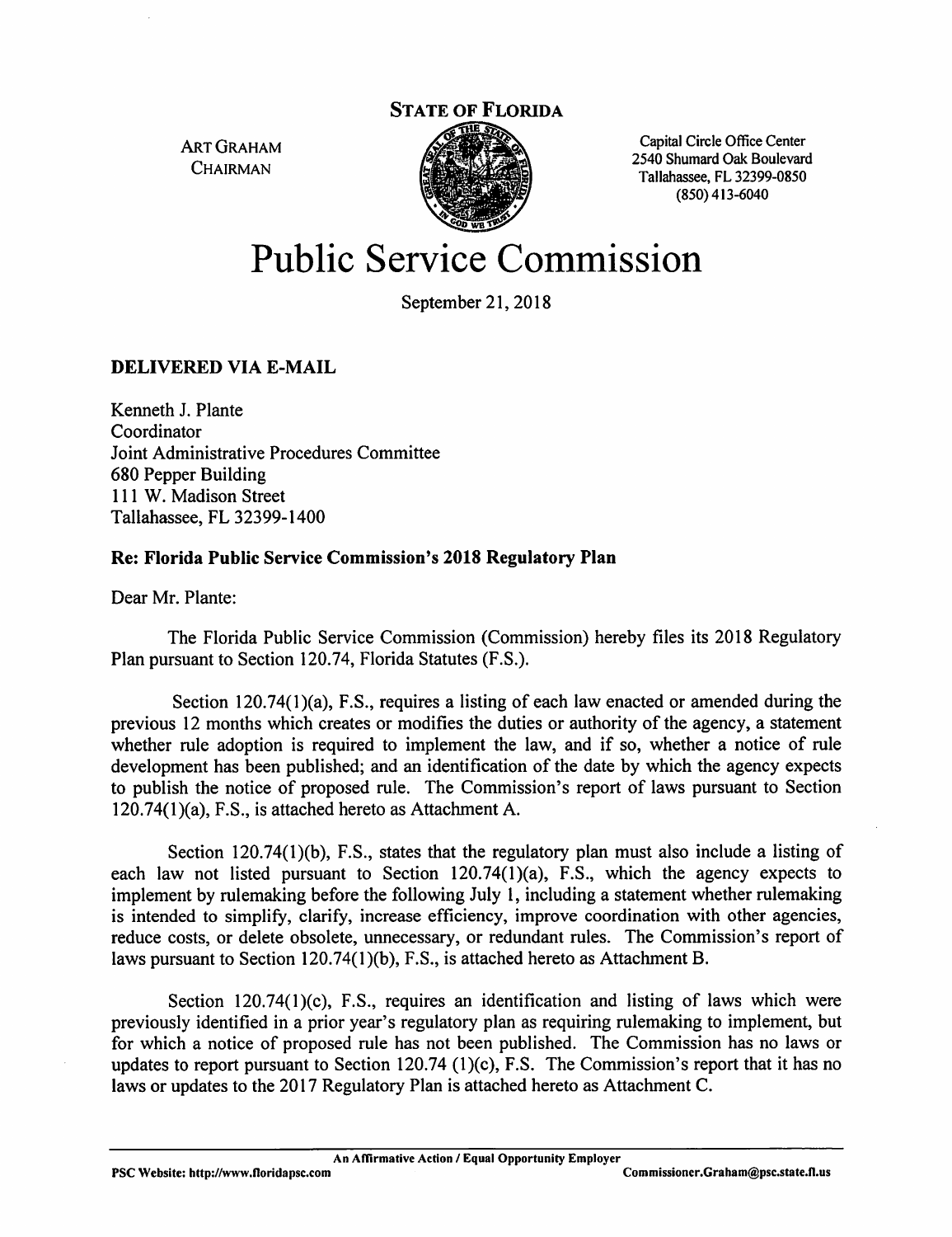

ART GRAHAM Capital Circle Office Center , A , A , A , A , A , A , A , 2540 Shumard Oak Boulevard<br>CHAIRMAN Tallahassee, FL 32399-0850 (850)413-6040

# Public Service Commission

September 21, 2018

#### DELIVERED VIA E-MAIL

Kenneth J. Plante Coordinator Joint Administrative Procedures Committee 680 Pepper Building 111 W. Madison Street Tallahassee, FL 32399-1400

#### Re: Florida Public Service Commission's 2018 Regulatory Plan

Dear Mr. Plante:

The Florida Public Service Commission (Commission) hereby files its 2018 Regulatory Plan pursuant to Section 120.74, Florida Statutes (F.S.).

Section 120.74(1)(a), F.S., requires a listing of each law enacted or amended during the previous 12 months which creates or modifies the duties or authority of the agency, a statement whether mle adoption is required to implement the law, and if so, whether a notice of rule development has been published; and an identification of the date by which the agency expects to publish the notice of proposed rule. The Commission's report of laws pursuant to Section 120.74(1 )(a), F.S., is attached hereto as Attachment A.

Section 120.74(1)(b), F.S., states that the regulatory plan must also include a listing of each law not listed pursuant to Section 120.74(l)(a), F.S., which the agency expects to implement by rulemaking before the following July I, including a statement whether rulemaking is intended to simplify, clarify, increase efficiency, improve coordination with other agencies, reduce costs, or delete obsolete, unnecessary, or redundant rules. The Commission's report of laws pursuant to Section 120.74(1)(b), F.S., is attached hereto as Attachment B.

Section 120.74(1)(c), F.S., requires an identification and listing of laws which were previously identified in a prior year's regulatory plan as requiring rulemaking to implement, but for which a notice of proposed rule has not been published. The Commission has no laws or updates to report pursuant to Section 120.74  $(1)(c)$ , F.S. The Commission's report that it has no laws or updates to the 2017 Regulatory Plan is attached hereto as Attachment C.

An Affirmative Action / Equal Opportunity Employer

PSC Website: http://www.floridapsc.com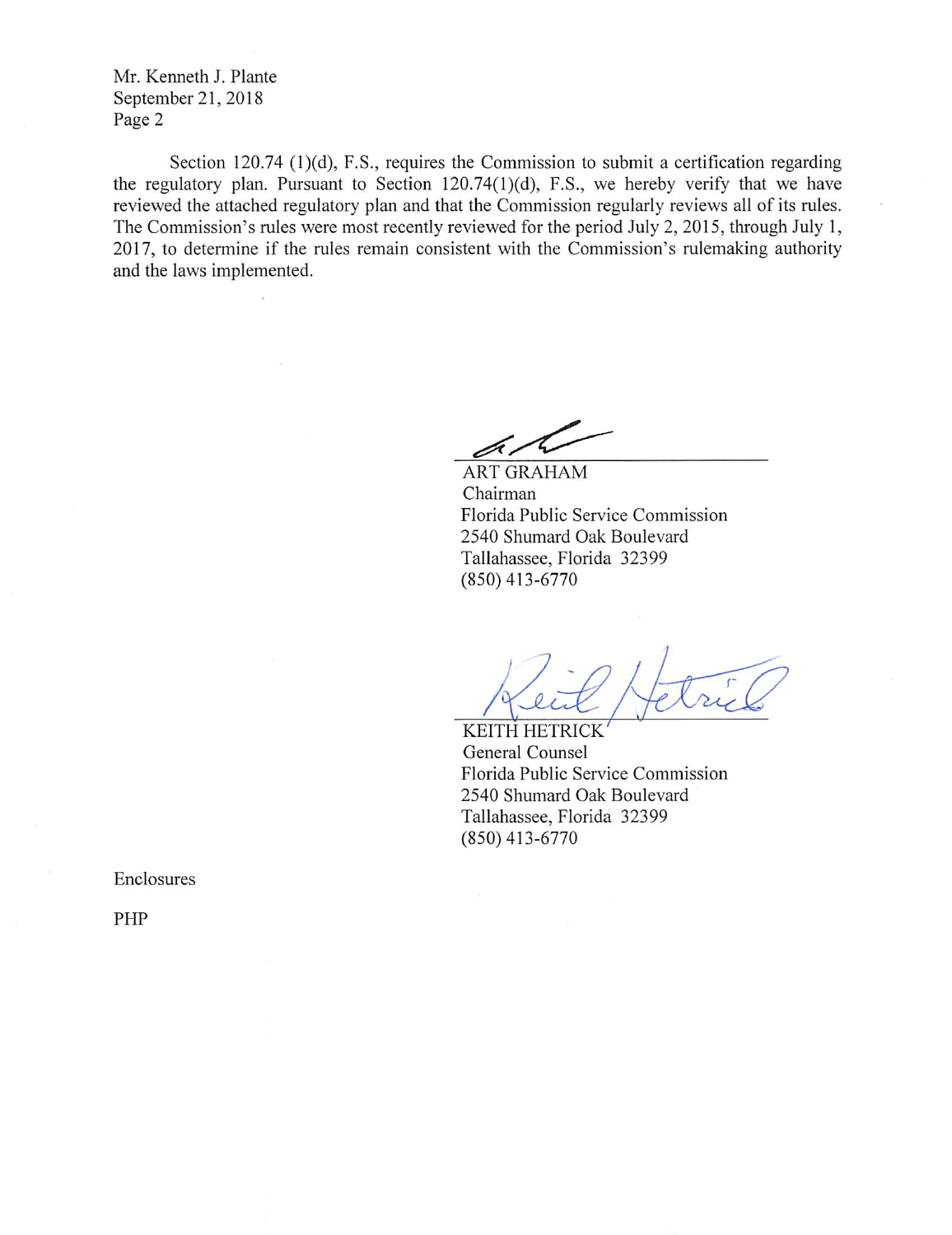Mr. Kenneth J. Plante September 21, 2018 Page 2

Section 120.74 (1)(d), F.S., requires the Commission to submit a certification regarding the regulatory plan. Pursuant to Section 120.74(l)(d), F.S., we hereby verify that we have reviewed the attached regulatory plan and that the Commission regularly reviews all of its rules. The Commission's rules were most recently reviewed for the period July 2, 2015, through July 1, 2017, to determine if the rules remain consistent with the Commission's rulemaking authority and the laws implemented.

ar

ART GRAHAM Chairman Florida Public Service Commission 2540 Shumard Oak Boulevard Tallahassee, Florida 32399 (850)413-6770

KEITH HETRICK' General Counsel Florida Public Service Commission 2540 Shumard Oak Boulevard Tallahassee, Florida 32399 (850)413-6770

Enclosures

PHP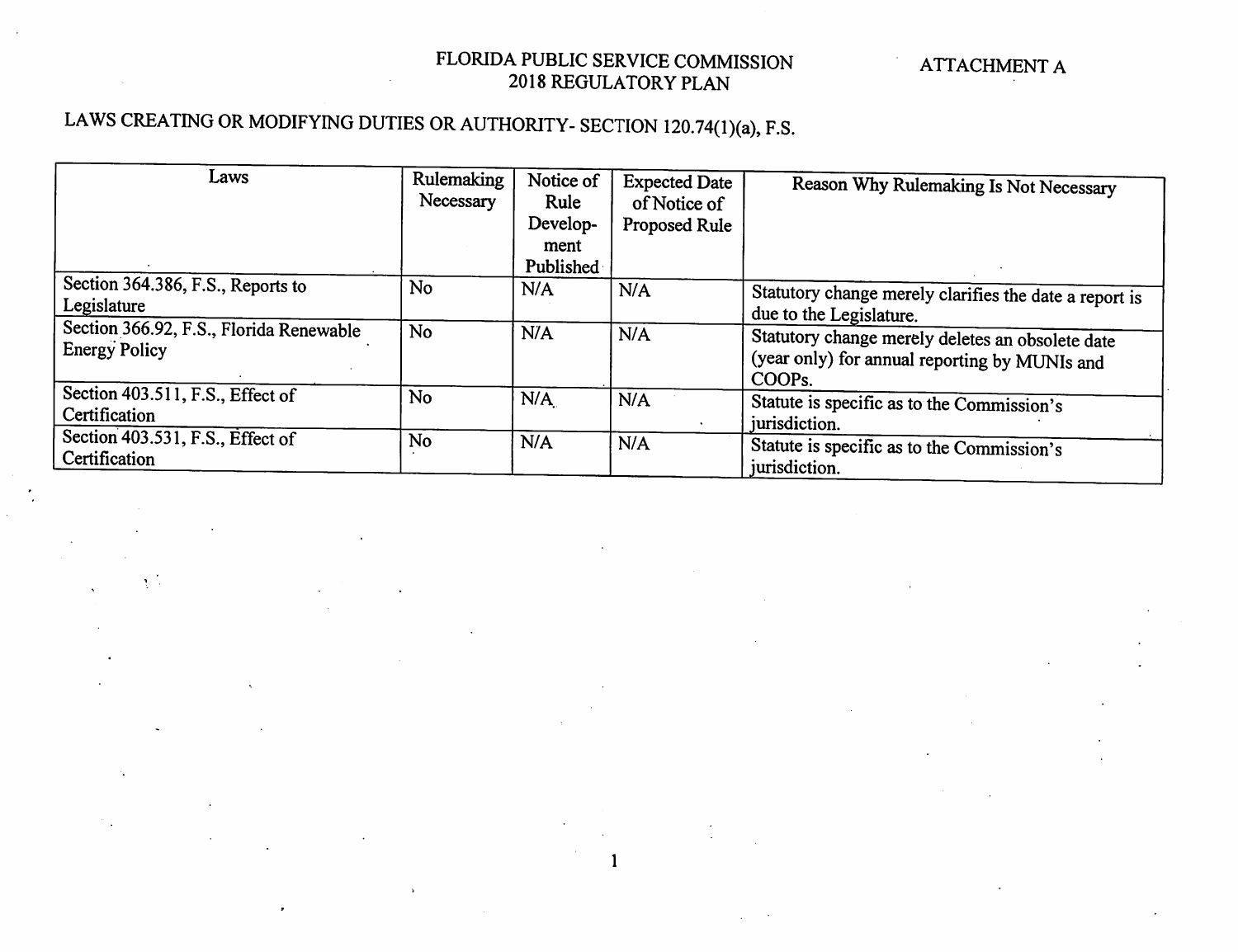### LAWS CREATING OR MODIFYING DUTIES OR AUTHORITY- SECTION 120.74(l)(a), F.S.

| Laws                                    | Rulemaking     |           |                      |                                                        |
|-----------------------------------------|----------------|-----------|----------------------|--------------------------------------------------------|
|                                         |                | Notice of | <b>Expected Date</b> | Reason Why Rulemaking Is Not Necessary                 |
|                                         | Necessary      | Rule      | of Notice of         |                                                        |
|                                         |                | Develop-  | Proposed Rule        |                                                        |
|                                         |                | ment      |                      |                                                        |
|                                         |                | Published |                      |                                                        |
| Section 364.386, F.S., Reports to       | N <sub>o</sub> | N/A       | N/A                  | Statutory change merely clarifies the date a report is |
| Legislature                             |                |           |                      | due to the Legislature.                                |
| Section 366.92, F.S., Florida Renewable | N <sub>o</sub> | N/A       | N/A                  |                                                        |
| <b>Energy Policy</b>                    |                |           |                      | Statutory change merely deletes an obsolete date       |
|                                         |                |           |                      | (year only) for annual reporting by MUNIs and          |
|                                         |                |           |                      | COOP <sub>s.</sub>                                     |
| Section 403.511, F.S., Effect of        | <b>No</b>      | N/A       | N/A                  | Statute is specific as to the Commission's             |
| Certification                           |                |           |                      |                                                        |
|                                         |                |           |                      | jurisdiction.                                          |
| Section 403.531, F.S., Effect of        | No             | N/A       | N/A                  | Statute is specific as to the Commission's             |
| Certification                           |                |           |                      | jurisdiction.                                          |
|                                         |                |           |                      |                                                        |

 $\mathbf{1}$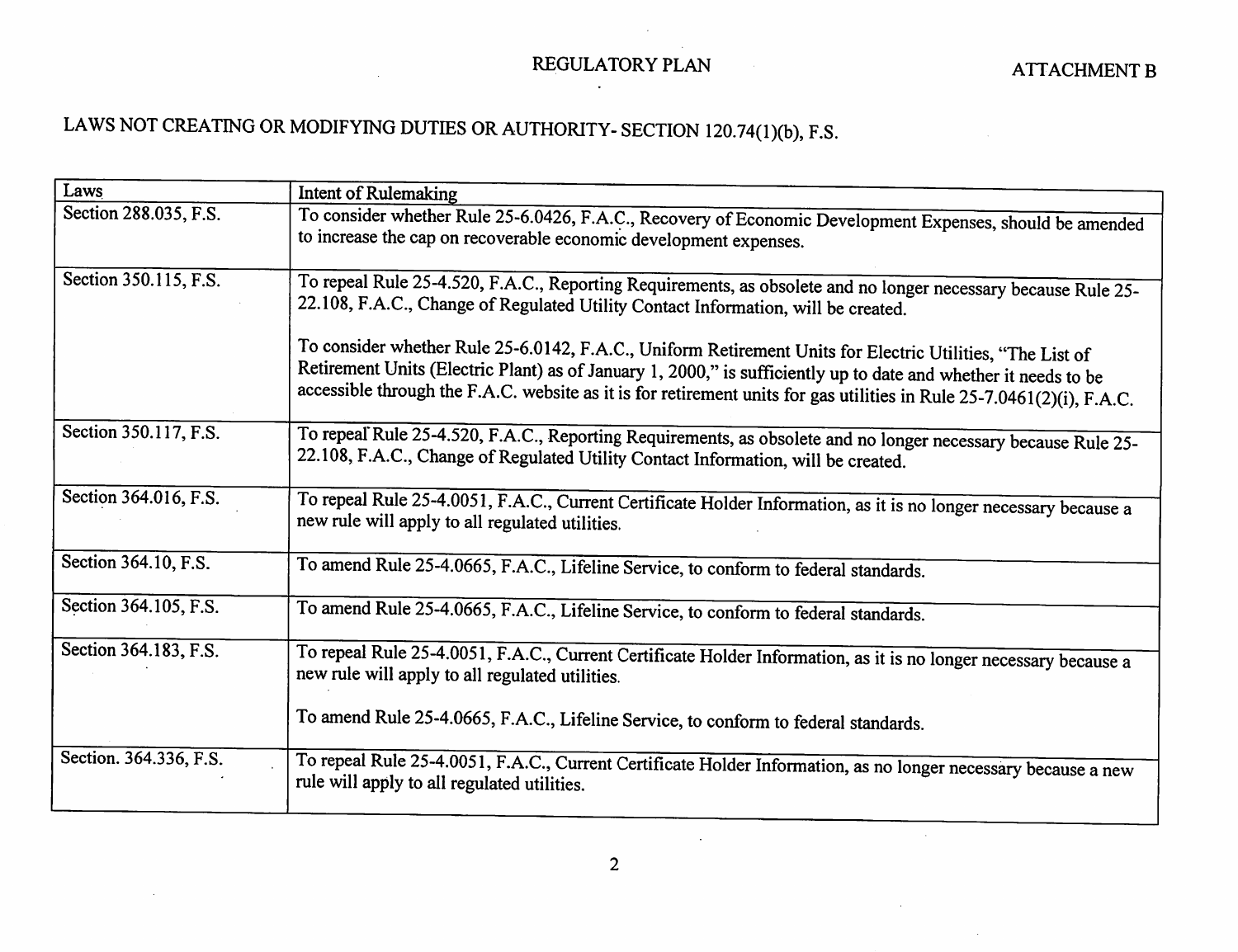#### REGULATORY PLAN

 $\langle \cdot \rangle$ 

 $\mathcal{L}_{\mathrm{eff}}$ 

 $\bar{z}$ 

### LAWS NOT CREATING OR MODIFYING DUTIES OR AUTHORITY- SECTION I20.74(I)(b), F.S.

| Laws                   | Intent of Rulemaking                                                                                                                                                                                                                                                                                                                                  |
|------------------------|-------------------------------------------------------------------------------------------------------------------------------------------------------------------------------------------------------------------------------------------------------------------------------------------------------------------------------------------------------|
| Section 288.035, F.S.  | To consider whether Rule 25-6.0426, F.A.C., Recovery of Economic Development Expenses, should be amended<br>to increase the cap on recoverable economic development expenses.                                                                                                                                                                         |
| Section 350.115, F.S.  | To repeal Rule 25-4.520, F.A.C., Reporting Requirements, as obsolete and no longer necessary because Rule 25-<br>22.108, F.A.C., Change of Regulated Utility Contact Information, will be created.                                                                                                                                                    |
|                        | To consider whether Rule 25-6.0142, F.A.C., Uniform Retirement Units for Electric Utilities, "The List of<br>Retirement Units (Electric Plant) as of January 1, 2000," is sufficiently up to date and whether it needs to be<br>accessible through the F.A.C. website as it is for retirement units for gas utilities in Rule 25-7.0461(2)(i), F.A.C. |
| Section 350.117, F.S.  | To repeal Rule 25-4.520, F.A.C., Reporting Requirements, as obsolete and no longer necessary because Rule 25-<br>22.108, F.A.C., Change of Regulated Utility Contact Information, will be created.                                                                                                                                                    |
| Section 364.016, F.S.  | To repeal Rule 25-4.0051, F.A.C., Current Certificate Holder Information, as it is no longer necessary because a<br>new rule will apply to all regulated utilities.                                                                                                                                                                                   |
| Section 364.10, F.S.   | To amend Rule 25-4.0665, F.A.C., Lifeline Service, to conform to federal standards.                                                                                                                                                                                                                                                                   |
| Section 364.105, F.S.  | To amend Rule 25-4.0665, F.A.C., Lifeline Service, to conform to federal standards.                                                                                                                                                                                                                                                                   |
| Section 364.183, F.S.  | To repeal Rule 25-4.0051, F.A.C., Current Certificate Holder Information, as it is no longer necessary because a<br>new rule will apply to all regulated utilities.                                                                                                                                                                                   |
|                        | To amend Rule 25-4.0665, F.A.C., Lifeline Service, to conform to federal standards.                                                                                                                                                                                                                                                                   |
| Section. 364.336, F.S. | To repeal Rule 25-4.0051, F.A.C., Current Certificate Holder Information, as no longer necessary because a new<br>rule will apply to all regulated utilities.                                                                                                                                                                                         |

 $\Delta$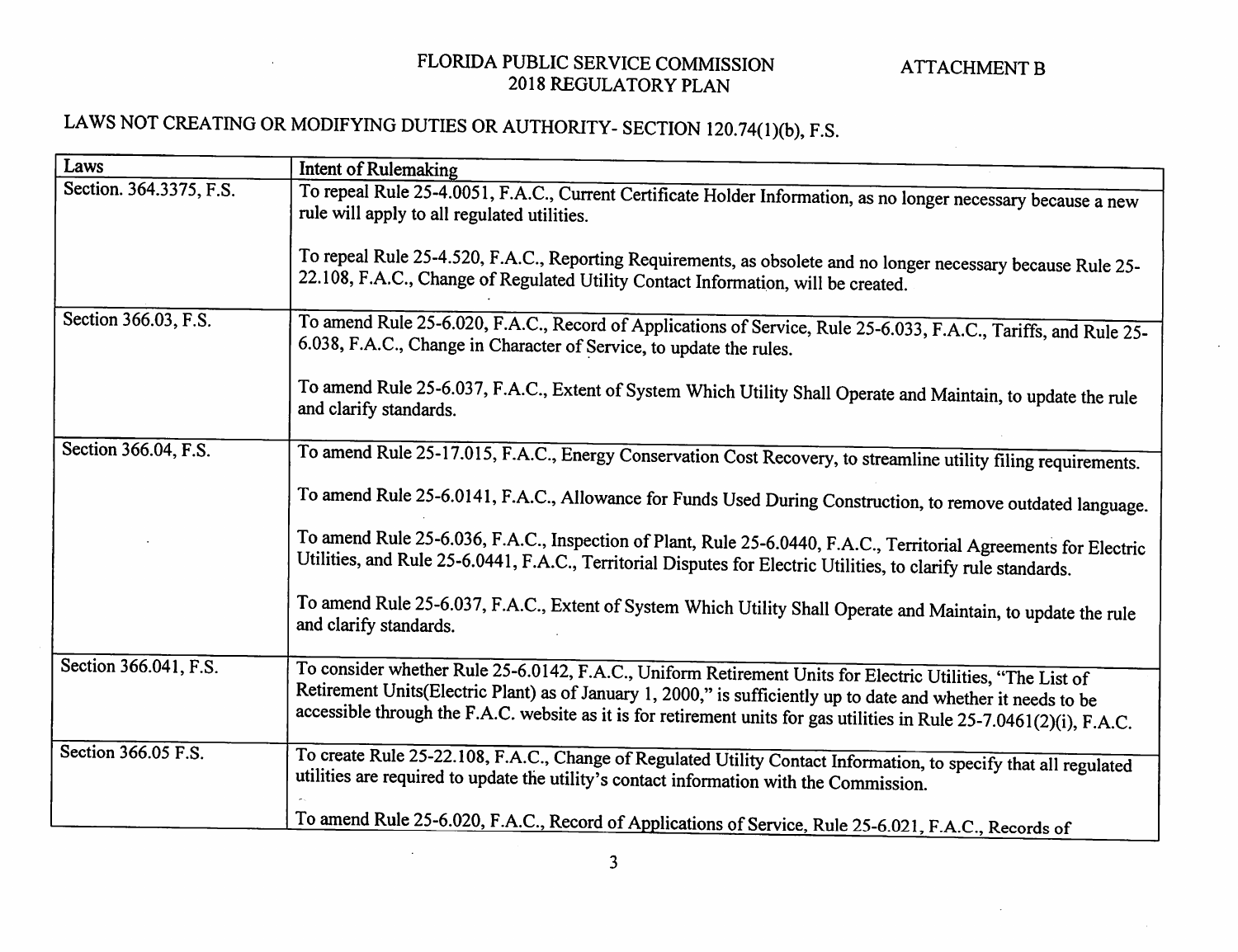### LAWS NOT CREATING OR MODIFYING DUTIES OR AUTHORITY- SECTION 120.74(1)(b), F.S.

 $\sim$ 

| Laws                    | <b>Intent of Rulemaking</b>                                                                                                                                                                                                                                                                                                                          |
|-------------------------|------------------------------------------------------------------------------------------------------------------------------------------------------------------------------------------------------------------------------------------------------------------------------------------------------------------------------------------------------|
| Section. 364.3375, F.S. |                                                                                                                                                                                                                                                                                                                                                      |
|                         | To repeal Rule 25-4.0051, F.A.C., Current Certificate Holder Information, as no longer necessary because a new<br>rule will apply to all regulated utilities.                                                                                                                                                                                        |
|                         | To repeal Rule 25-4.520, F.A.C., Reporting Requirements, as obsolete and no longer necessary because Rule 25-<br>22.108, F.A.C., Change of Regulated Utility Contact Information, will be created.                                                                                                                                                   |
|                         |                                                                                                                                                                                                                                                                                                                                                      |
| Section 366.03, F.S.    | To amend Rule 25-6.020, F.A.C., Record of Applications of Service, Rule 25-6.033, F.A.C., Tariffs, and Rule 25-<br>6.038, F.A.C., Change in Character of Service, to update the rules.                                                                                                                                                               |
|                         | To amend Rule 25-6.037, F.A.C., Extent of System Which Utility Shall Operate and Maintain, to update the rule<br>and clarify standards.                                                                                                                                                                                                              |
| Section 366.04, F.S.    |                                                                                                                                                                                                                                                                                                                                                      |
|                         | To amend Rule 25-17.015, F.A.C., Energy Conservation Cost Recovery, to streamline utility filing requirements.                                                                                                                                                                                                                                       |
|                         | To amend Rule 25-6.0141, F.A.C., Allowance for Funds Used During Construction, to remove outdated language.                                                                                                                                                                                                                                          |
|                         | To amend Rule 25-6.036, F.A.C., Inspection of Plant, Rule 25-6.0440, F.A.C., Territorial Agreements for Electric<br>Utilities, and Rule 25-6.0441, F.A.C., Territorial Disputes for Electric Utilities, to clarify rule standards.                                                                                                                   |
|                         | To amend Rule 25-6.037, F.A.C., Extent of System Which Utility Shall Operate and Maintain, to update the rule<br>and clarify standards.                                                                                                                                                                                                              |
| Section 366.041, F.S.   | To consider whether Rule 25-6.0142, F.A.C., Uniform Retirement Units for Electric Utilities, "The List of<br>Retirement Units(Electric Plant) as of January 1, 2000," is sufficiently up to date and whether it needs to be<br>accessible through the F.A.C. website as it is for retirement units for gas utilities in Rule 25-7.0461(2)(i), F.A.C. |
| Section 366.05 F.S.     | To create Rule 25-22.108, F.A.C., Change of Regulated Utility Contact Information, to specify that all regulated<br>utilities are required to update the utility's contact information with the Commission.                                                                                                                                          |
|                         | To amend Rule 25-6.020, F.A.C., Record of Applications of Service, Rule 25-6.021, F.A.C. Records of                                                                                                                                                                                                                                                  |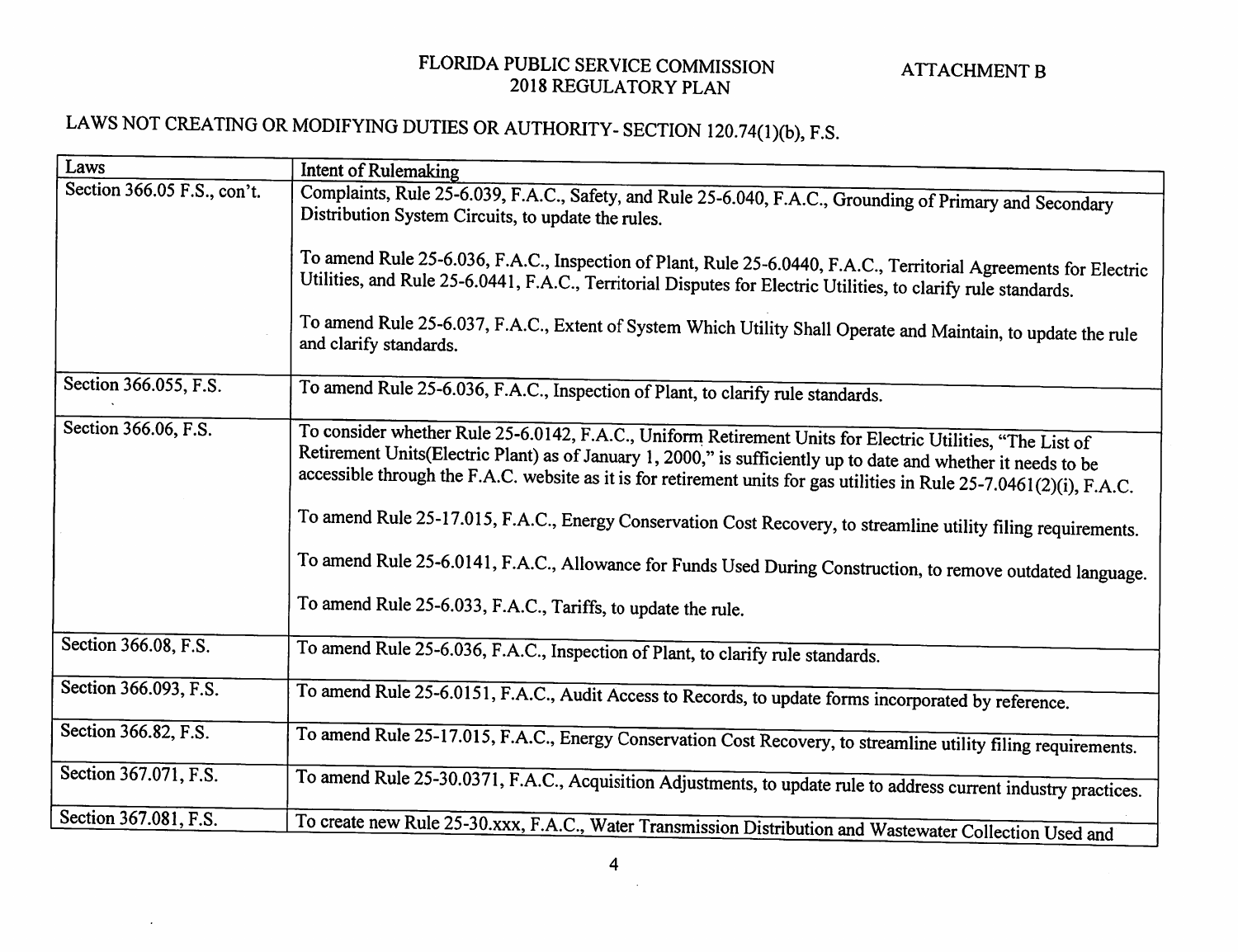## LAWS NOT CREATING OR MODIFYING DUTIES OR AUTHORITY- SECTION 120.74(1)(b), F.S.

 $\cdot$ 

| Laws                        | Intent of Rulemaking                                                                                                                                           |
|-----------------------------|----------------------------------------------------------------------------------------------------------------------------------------------------------------|
| Section 366.05 F.S., con't. |                                                                                                                                                                |
|                             | Complaints, Rule 25-6.039, F.A.C., Safety, and Rule 25-6.040, F.A.C., Grounding of Primary and Secondary<br>Distribution System Circuits, to update the rules. |
|                             | To amend Rule 25-6.036, F.A.C., Inspection of Plant, Rule 25-6.0440, F.A.C., Territorial Agreements for Electric                                               |
|                             | Utilities, and Rule 25-6.0441, F.A.C., Territorial Disputes for Electric Utilities, to clarify rule standards.                                                 |
|                             | To amend Rule 25-6.037, F.A.C., Extent of System Which Utility Shall Operate and Maintain, to update the rule<br>and clarify standards.                        |
| Section 366.055, F.S.       |                                                                                                                                                                |
|                             | To amend Rule 25-6.036, F.A.C., Inspection of Plant, to clarify rule standards.                                                                                |
| Section 366.06, F.S.        |                                                                                                                                                                |
|                             | To consider whether Rule 25-6.0142, F.A.C., Uniform Retirement Units for Electric Utilities, "The List of                                                      |
|                             | Retirement Units(Electric Plant) as of January 1, 2000," is sufficiently up to date and whether it needs to be                                                 |
|                             | accessible through the F.A.C. website as it is for retirement units for gas utilities in Rule 25-7.0461(2)(i), F.A.C.                                          |
|                             | To amend Rule 25-17.015, F.A.C., Energy Conservation Cost Recovery, to streamline utility filing requirements.                                                 |
|                             | To amend Rule 25-6.0141, F.A.C., Allowance for Funds Used During Construction, to remove outdated language.                                                    |
|                             | To amend Rule 25-6.033, F.A.C., Tariffs, to update the rule.                                                                                                   |
| Section 366.08, F.S.        | To amend Rule 25-6.036, F.A.C., Inspection of Plant, to clarify rule standards.                                                                                |
|                             |                                                                                                                                                                |
| Section 366.093, F.S.       | To amend Rule 25-6.0151, F.A.C., Audit Access to Records, to update forms incorporated by reference.                                                           |
| Section 366.82, F.S.        |                                                                                                                                                                |
|                             | To amend Rule 25-17.015, F.A.C., Energy Conservation Cost Recovery, to streamline utility filing requirements.                                                 |
| Section 367.071, F.S.       | To amend Rule 25-30.0371, F.A.C., Acquisition Adjustments, to update rule to address current industry practices.                                               |
|                             |                                                                                                                                                                |
| Section 367.081, F.S.       | To create new Rule 25-30.xxx, F.A.C., Water Transmission Distribution and Wastewater Collection Used and                                                       |
|                             |                                                                                                                                                                |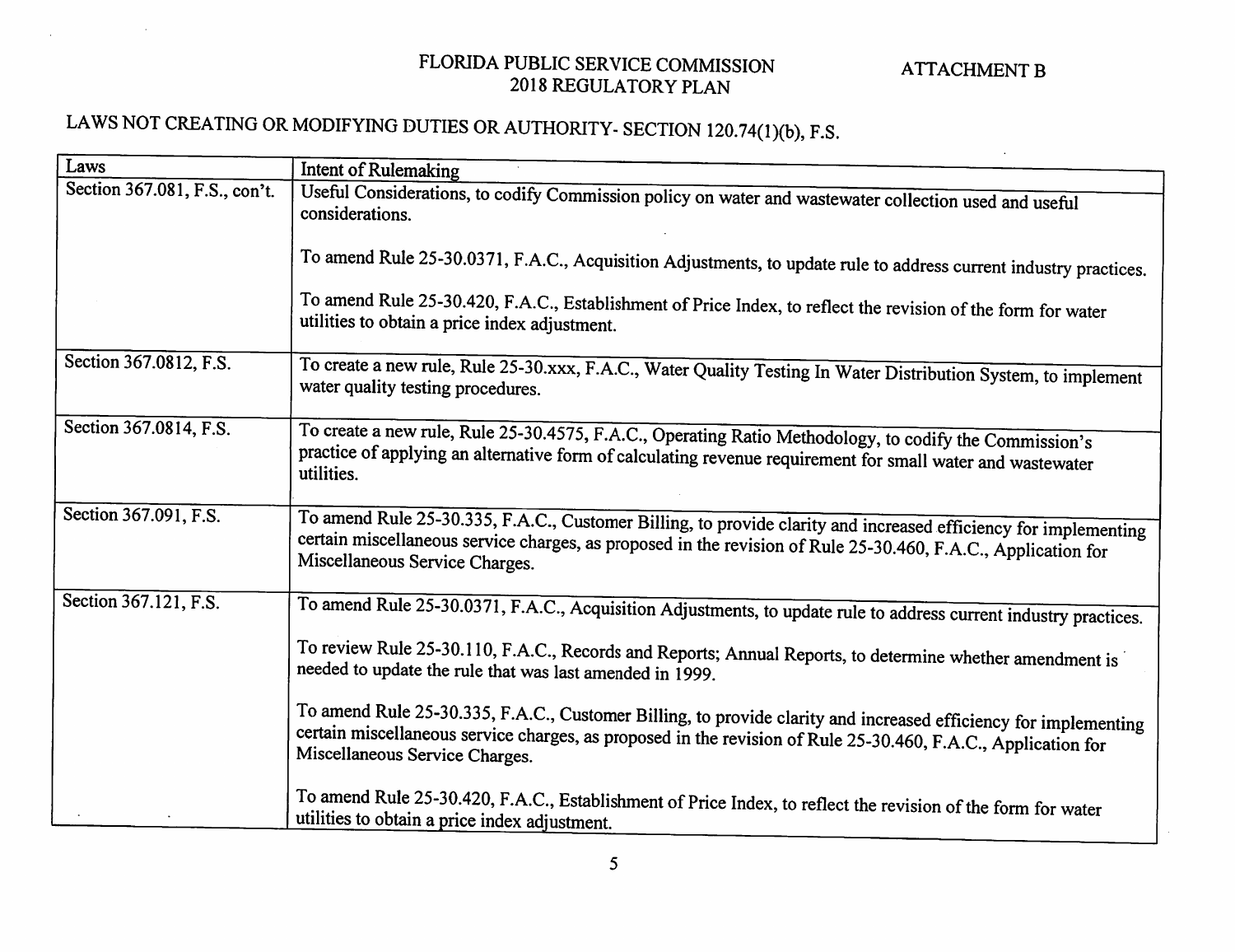## LAWS NOT CREATING OR MODIFYING DUTIES OR AUTHORITY- SECTION 120.74(1)(b), F.S.

| Laws                          | <b>Intent of Rulemaking</b>                                                                                                                                                                                                                                        |
|-------------------------------|--------------------------------------------------------------------------------------------------------------------------------------------------------------------------------------------------------------------------------------------------------------------|
| Section 367.081, F.S., con't. | Useful Considerations, to codify Commission policy on water and wastewater collection used and useful<br>considerations.                                                                                                                                           |
|                               | To amend Rule 25-30.0371, F.A.C., Acquisition Adjustments, to update rule to address current industry practices.                                                                                                                                                   |
|                               | To amend Rule 25-30.420, F.A.C., Establishment of Price Index, to reflect the revision of the form for water<br>utilities to obtain a price index adjustment.                                                                                                      |
| Section 367.0812, F.S.        | To create a new rule, Rule 25-30.xxx, F.A.C., Water Quality Testing In Water Distribution System, to implement<br>water quality testing procedures.                                                                                                                |
| Section 367.0814, F.S.        | To create a new rule, Rule 25-30.4575, F.A.C., Operating Ratio Methodology, to codify the Commission's<br>practice of applying an alternative form of calculating revenue requirement for small water and wastewater<br>utilities.                                 |
| Section 367.091, F.S.         | To amend Rule 25-30.335, F.A.C., Customer Billing, to provide clarity and increased efficiency for implementing<br>certain miscellaneous service charges, as proposed in the revision of Rule 25-30.460, F.A.C., Application for<br>Miscellaneous Service Charges. |
| Section 367.121, F.S.         | To amend Rule 25-30.0371, F.A.C., Acquisition Adjustments, to update rule to address current industry practices.                                                                                                                                                   |
|                               | To review Rule 25-30.110, F.A.C., Records and Reports; Annual Reports, to determine whether amendment is<br>needed to update the rule that was last amended in 1999.                                                                                               |
|                               | To amend Rule 25-30.335, F.A.C., Customer Billing, to provide clarity and increased efficiency for implementing<br>certain miscellaneous service charges, as proposed in the revision of Rule 25-30.460, F.A.C., Application for<br>Miscellaneous Service Charges. |
|                               | To amend Rule 25-30.420, F.A.C., Establishment of Price Index, to reflect the revision of the form for water<br>utilities to obtain a price index adjustment.                                                                                                      |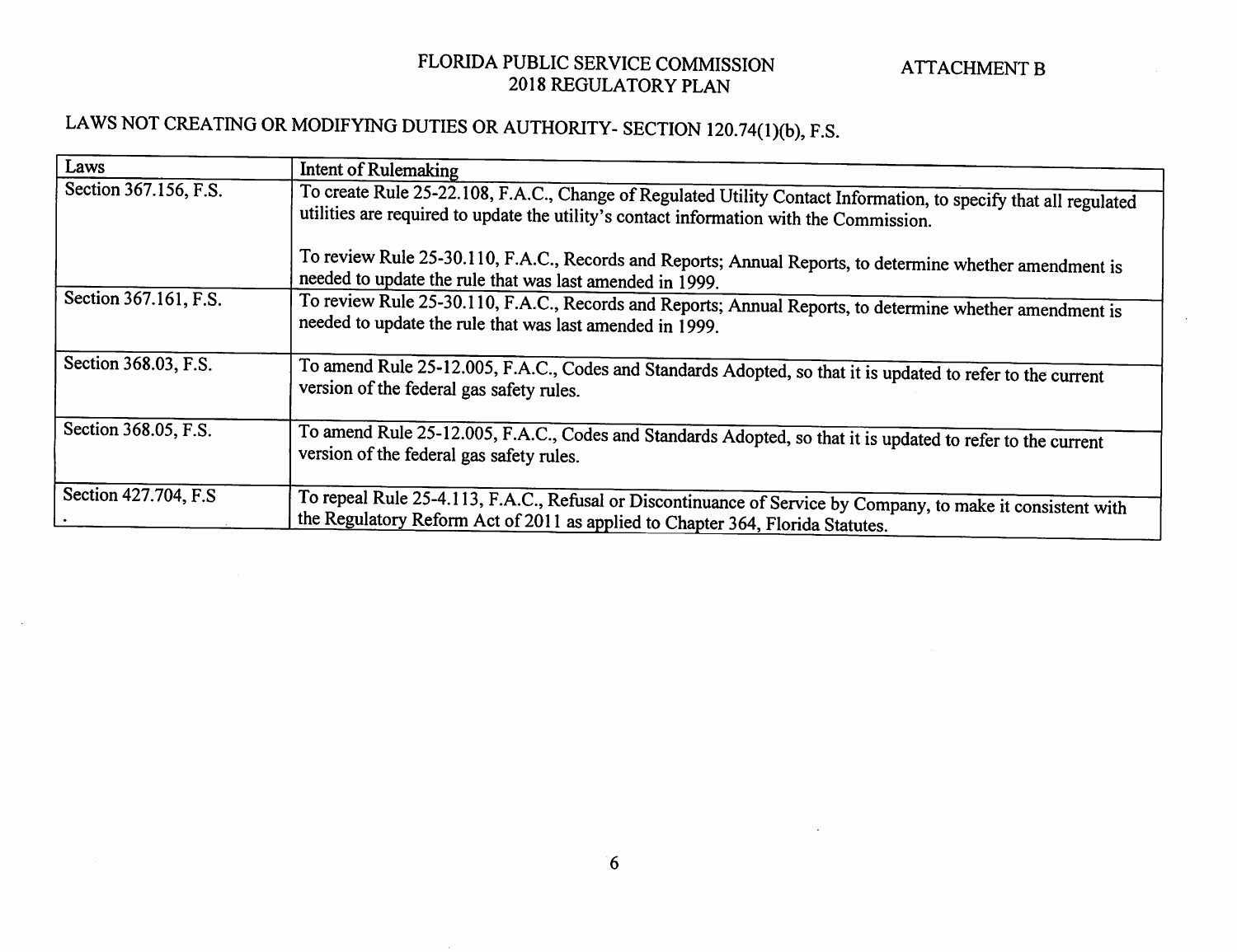### LAWS NOT CREATING OR MODIFYING DUTIES OR AUTHORITY- SECTION 120.74(1)(b), F.S.

| Laws                  | Intent of Rulemaking                                                                                                                                                                                        |
|-----------------------|-------------------------------------------------------------------------------------------------------------------------------------------------------------------------------------------------------------|
| Section 367.156, F.S. | To create Rule 25-22.108, F.A.C., Change of Regulated Utility Contact Information, to specify that all regulated<br>utilities are required to update the utility's contact information with the Commission. |
|                       | To review Rule 25-30.110, F.A.C., Records and Reports; Annual Reports, to determine whether amendment is<br>needed to update the rule that was last amended in 1999.                                        |
| Section 367.161, F.S. | To review Rule 25-30.110, F.A.C., Records and Reports; Annual Reports, to determine whether amendment is<br>needed to update the rule that was last amended in 1999.                                        |
| Section 368.03, F.S.  | To amend Rule 25-12.005, F.A.C., Codes and Standards Adopted, so that it is updated to refer to the current<br>version of the federal gas safety rules.                                                     |
| Section 368.05, F.S.  | To amend Rule 25-12.005, F.A.C., Codes and Standards Adopted, so that it is updated to refer to the current<br>version of the federal gas safety rules.                                                     |
| Section 427.704, F.S. | To repeal Rule 25-4.113, F.A.C., Refusal or Discontinuance of Service by Company, to make it consistent with<br>the Regulatory Reform Act of 2011 as applied to Chapter 364, Florida Statutes.              |